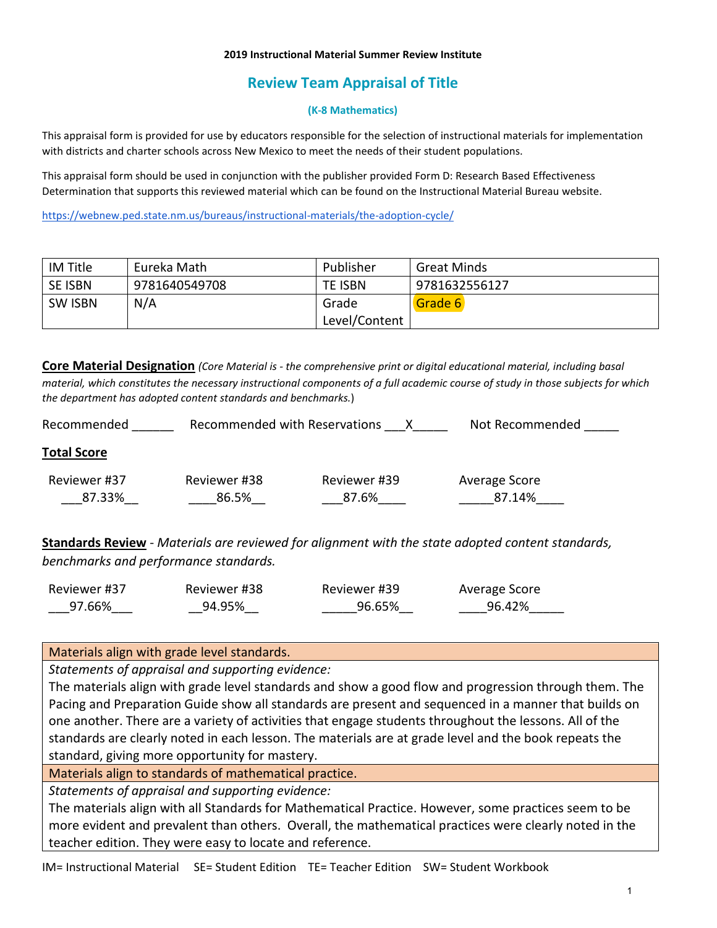### **2019 Instructional Material Summer Review Institute**

# **Review Team Appraisal of Title**

## **(K-8 Mathematics)**

This appraisal form is provided for use by educators responsible for the selection of instructional materials for implementation with districts and charter schools across New Mexico to meet the needs of their student populations.

This appraisal form should be used in conjunction with the publisher provided Form D: Research Based Effectiveness Determination that supports this reviewed material which can be found on the Instructional Material Bureau website.

<https://webnew.ped.state.nm.us/bureaus/instructional-materials/the-adoption-cycle/>

| IM Title       | Eureka Math   | Publisher     | <b>Great Minds</b> |
|----------------|---------------|---------------|--------------------|
| <b>SE ISBN</b> | 9781640549708 | TE ISBN       | 9781632556127      |
| <b>SW ISBN</b> | N/A           | Grade         | Grade 6            |
|                |               | Level/Content |                    |

**Core Material Designation** *(Core Material is - the comprehensive print or digital educational material, including basal material, which constitutes the necessary instructional components of a full academic course of study in those subjects for which the department has adopted content standards and benchmarks.*)

| Recommended            | Recommended with Reservations |                       | Not Recommended         |
|------------------------|-------------------------------|-----------------------|-------------------------|
| <b>Total Score</b>     |                               |                       |                         |
| Reviewer #37<br>87.33% | Reviewer #38<br>86.5%         | Reviewer #39<br>87.6% | Average Score<br>87.14% |

**Standards Review** - *Materials are reviewed for alignment with the state adopted content standards, benchmarks and performance standards.*

| Reviewer #37 | Reviewer #38 | Reviewer #39 | Average Score |
|--------------|--------------|--------------|---------------|
| 97.66%       | 94.95%       | 96.65%       | 96.42%        |

Materials align with grade level standards.

*Statements of appraisal and supporting evidence:*

The materials align with grade level standards and show a good flow and progression through them. The Pacing and Preparation Guide show all standards are present and sequenced in a manner that builds on one another. There are a variety of activities that engage students throughout the lessons. All of the standards are clearly noted in each lesson. The materials are at grade level and the book repeats the standard, giving more opportunity for mastery.

Materials align to standards of mathematical practice.

*Statements of appraisal and supporting evidence:*

The materials align with all Standards for Mathematical Practice. However, some practices seem to be more evident and prevalent than others. Overall, the mathematical practices were clearly noted in the teacher edition. They were easy to locate and reference.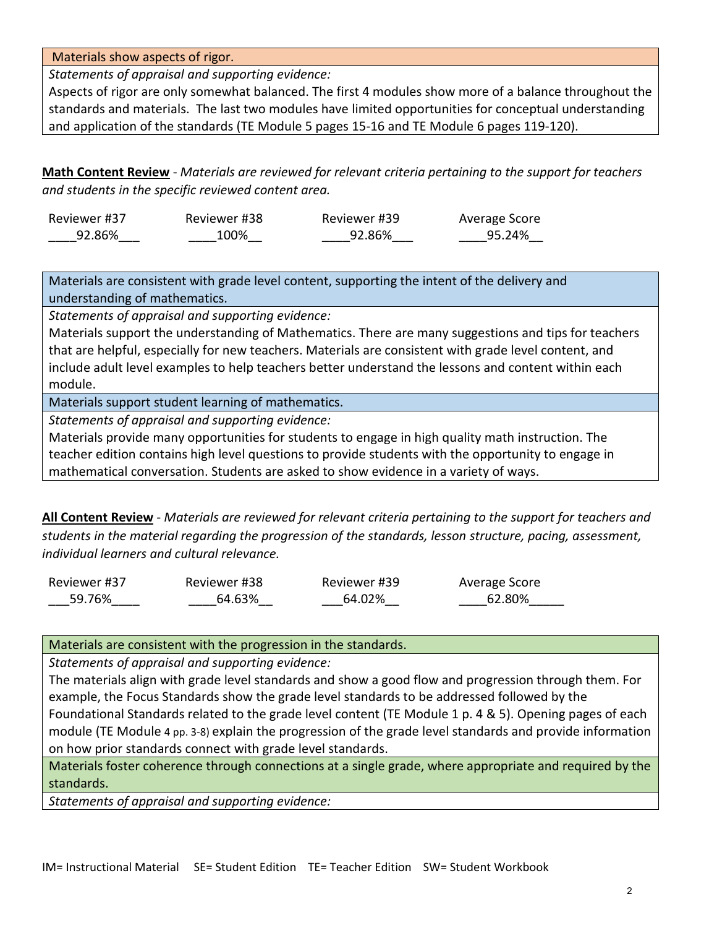Materials show aspects of rigor.

*Statements of appraisal and supporting evidence:* 

Aspects of rigor are only somewhat balanced. The first 4 modules show more of a balance throughout the standards and materials. The last two modules have limited opportunities for conceptual understanding and application of the standards (TE Module 5 pages 15-16 and TE Module 6 pages 119-120).

**Math Content Review** - *Materials are reviewed for relevant criteria pertaining to the support for teachers and students in the specific reviewed content area.*

| Reviewer #37 | Reviewer #38 | Reviewer #39 | Average Score |
|--------------|--------------|--------------|---------------|
| 92.86%       | 100%         | 92.86%       | 95.24%        |

Materials are consistent with grade level content, supporting the intent of the delivery and understanding of mathematics.

*Statements of appraisal and supporting evidence:*

Materials support the understanding of Mathematics. There are many suggestions and tips for teachers that are helpful, especially for new teachers. Materials are consistent with grade level content, and include adult level examples to help teachers better understand the lessons and content within each module.

Materials support student learning of mathematics.

*Statements of appraisal and supporting evidence:*

Materials provide many opportunities for students to engage in high quality math instruction. The teacher edition contains high level questions to provide students with the opportunity to engage in mathematical conversation. Students are asked to show evidence in a variety of ways.

**All Content Review** - *Materials are reviewed for relevant criteria pertaining to the support for teachers and students in the material regarding the progression of the standards, lesson structure, pacing, assessment, individual learners and cultural relevance.*

Reviewer #37 \_\_\_59.76%\_\_\_\_ Reviewer #38 \_\_\_\_64.63%\_\_ Reviewer #39 \_\_\_64.02%\_\_ Average Score \_\_\_\_62.80%\_\_\_\_\_

Materials are consistent with the progression in the standards.

*Statements of appraisal and supporting evidence:*

The materials align with grade level standards and show a good flow and progression through them. For example, the Focus Standards show the grade level standards to be addressed followed by the Foundational Standards related to the grade level content (TE Module 1 p. 4 & 5). Opening pages of each module (TE Module 4 pp. 3-8) explain the progression of the grade level standards and provide information on how prior standards connect with grade level standards.

Materials foster coherence through connections at a single grade, where appropriate and required by the standards.

*Statements of appraisal and supporting evidence:*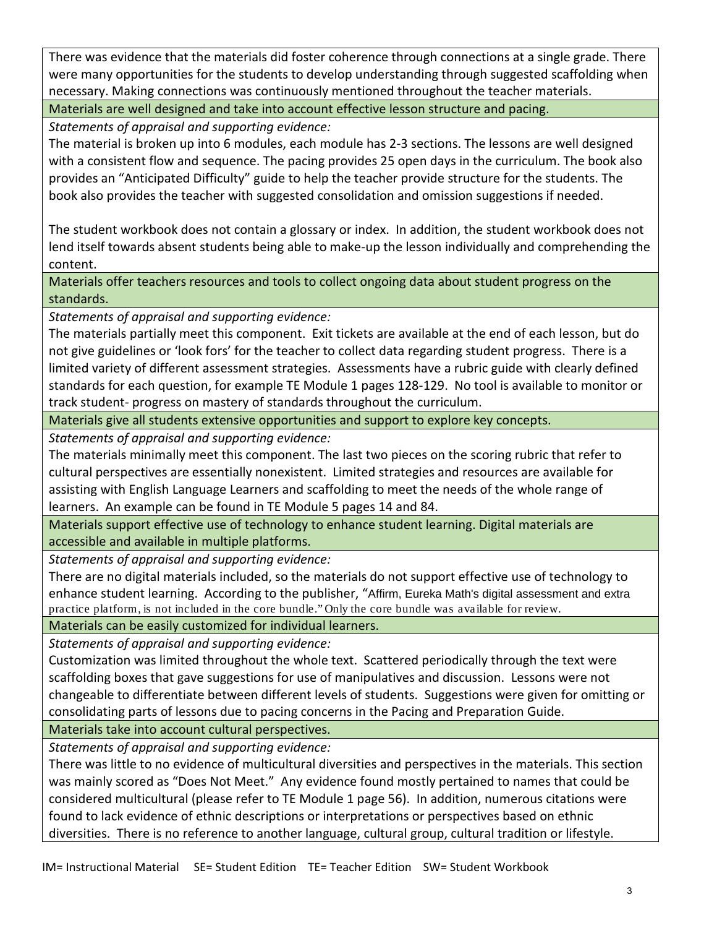There was evidence that the materials did foster coherence through connections at a single grade. There were many opportunities for the students to develop understanding through suggested scaffolding when necessary. Making connections was continuously mentioned throughout the teacher materials.

Materials are well designed and take into account effective lesson structure and pacing.

*Statements of appraisal and supporting evidence:*

The material is broken up into 6 modules, each module has 2-3 sections. The lessons are well designed with a consistent flow and sequence. The pacing provides 25 open days in the curriculum. The book also provides an "Anticipated Difficulty" guide to help the teacher provide structure for the students. The book also provides the teacher with suggested consolidation and omission suggestions if needed.

The student workbook does not contain a glossary or index. In addition, the student workbook does not lend itself towards absent students being able to make-up the lesson individually and comprehending the content.

Materials offer teachers resources and tools to collect ongoing data about student progress on the standards.

*Statements of appraisal and supporting evidence:*

The materials partially meet this component. Exit tickets are available at the end of each lesson, but do not give guidelines or 'look fors' for the teacher to collect data regarding student progress. There is a limited variety of different assessment strategies. Assessments have a rubric guide with clearly defined standards for each question, for example TE Module 1 pages 128-129. No tool is available to monitor or track student- progress on mastery of standards throughout the curriculum.

Materials give all students extensive opportunities and support to explore key concepts.

*Statements of appraisal and supporting evidence:*

The materials minimally meet this component. The last two pieces on the scoring rubric that refer to cultural perspectives are essentially nonexistent. Limited strategies and resources are available for assisting with English Language Learners and scaffolding to meet the needs of the whole range of learners. An example can be found in TE Module 5 pages 14 and 84.

Materials support effective use of technology to enhance student learning. Digital materials are accessible and available in multiple platforms.

*Statements of appraisal and supporting evidence:*

There are no digital materials included, so the materials do not support effective use of technology to enhance student learning. According to the publisher, "Affirm, Eureka Math's digital assessment and extra practice platform, is not included in the core bundle." Only the core bundle was available for review.

Materials can be easily customized for individual learners.

*Statements of appraisal and supporting evidence:*

Customization was limited throughout the whole text. Scattered periodically through the text were scaffolding boxes that gave suggestions for use of manipulatives and discussion. Lessons were not changeable to differentiate between different levels of students. Suggestions were given for omitting or consolidating parts of lessons due to pacing concerns in the Pacing and Preparation Guide.

Materials take into account cultural perspectives.

*Statements of appraisal and supporting evidence:*

There was little to no evidence of multicultural diversities and perspectives in the materials. This section was mainly scored as "Does Not Meet." Any evidence found mostly pertained to names that could be considered multicultural (please refer to TE Module 1 page 56). In addition, numerous citations were found to lack evidence of ethnic descriptions or interpretations or perspectives based on ethnic diversities. There is no reference to another language, cultural group, cultural tradition or lifestyle.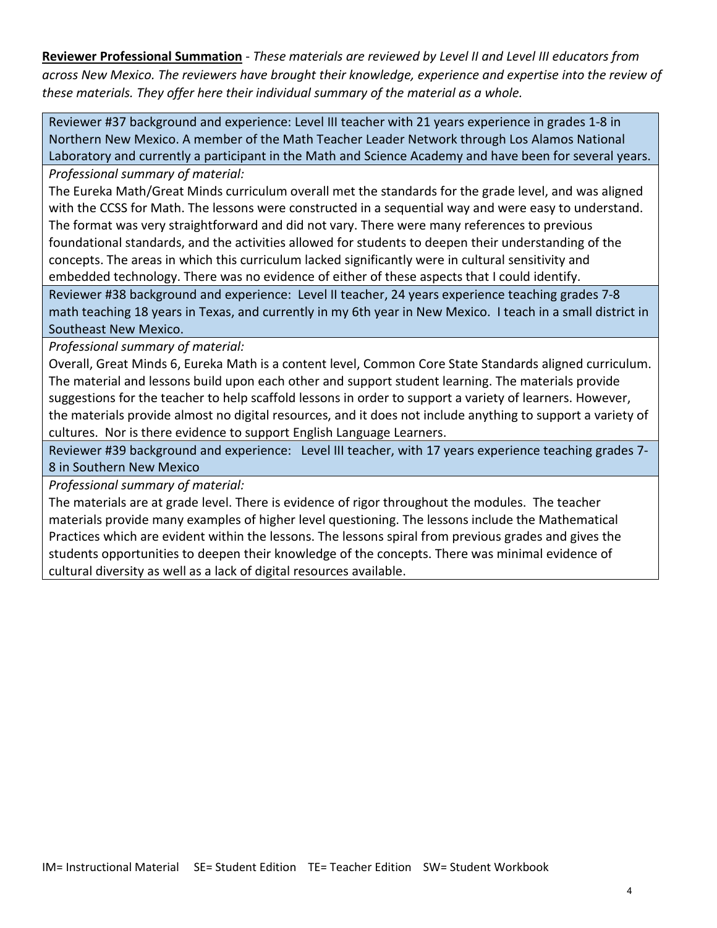**Reviewer Professional Summation** - *These materials are reviewed by Level II and Level III educators from across New Mexico. The reviewers have brought their knowledge, experience and expertise into the review of these materials. They offer here their individual summary of the material as a whole.* 

Reviewer #37 background and experience: Level III teacher with 21 years experience in grades 1-8 in Northern New Mexico. A member of the Math Teacher Leader Network through Los Alamos National Laboratory and currently a participant in the Math and Science Academy and have been for several years.

*Professional summary of material:*

The Eureka Math/Great Minds curriculum overall met the standards for the grade level, and was aligned with the CCSS for Math. The lessons were constructed in a sequential way and were easy to understand. The format was very straightforward and did not vary. There were many references to previous foundational standards, and the activities allowed for students to deepen their understanding of the concepts. The areas in which this curriculum lacked significantly were in cultural sensitivity and embedded technology. There was no evidence of either of these aspects that I could identify.

Reviewer #38 background and experience: Level II teacher, 24 years experience teaching grades 7-8 math teaching 18 years in Texas, and currently in my 6th year in New Mexico. I teach in a small district in Southeast New Mexico.

*Professional summary of material:*

Overall, Great Minds 6, Eureka Math is a content level, Common Core State Standards aligned curriculum. The material and lessons build upon each other and support student learning. The materials provide suggestions for the teacher to help scaffold lessons in order to support a variety of learners. However, the materials provide almost no digital resources, and it does not include anything to support a variety of cultures. Nor is there evidence to support English Language Learners.

Reviewer #39 background and experience: Level III teacher, with 17 years experience teaching grades 7- 8 in Southern New Mexico

*Professional summary of material:*

The materials are at grade level. There is evidence of rigor throughout the modules. The teacher materials provide many examples of higher level questioning. The lessons include the Mathematical Practices which are evident within the lessons. The lessons spiral from previous grades and gives the students opportunities to deepen their knowledge of the concepts. There was minimal evidence of cultural diversity as well as a lack of digital resources available.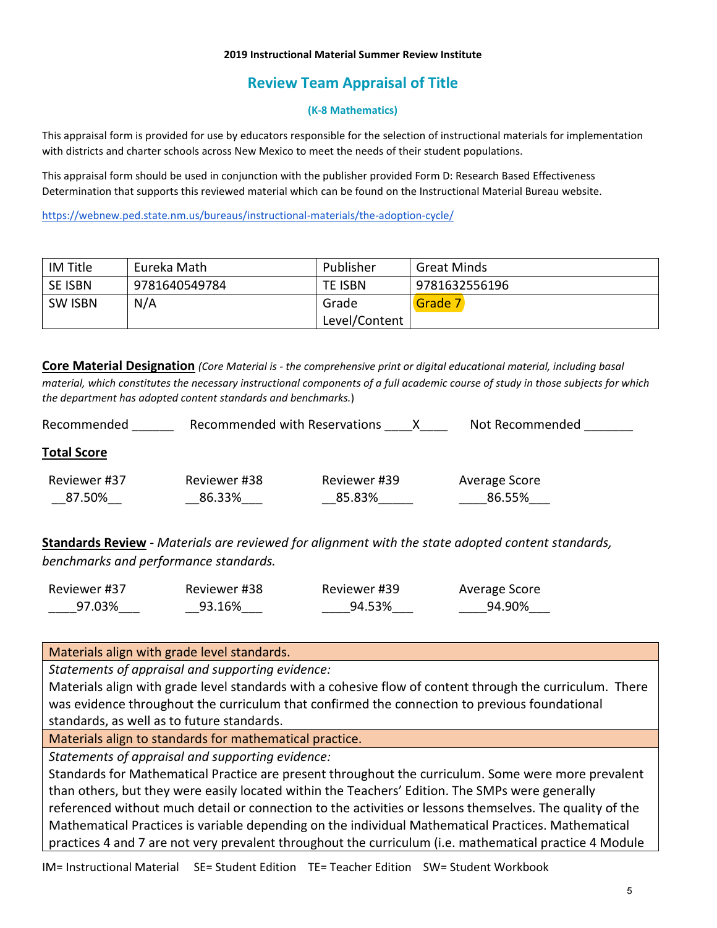### **2019 Instructional Material Summer Review Institute**

# **Review Team Appraisal of Title**

## **(K-8 Mathematics)**

This appraisal form is provided for use by educators responsible for the selection of instructional materials for implementation with districts and charter schools across New Mexico to meet the needs of their student populations.

This appraisal form should be used in conjunction with the publisher provided Form D: Research Based Effectiveness Determination that supports this reviewed material which can be found on the Instructional Material Bureau website.

<https://webnew.ped.state.nm.us/bureaus/instructional-materials/the-adoption-cycle/>

| IM Title       | Eureka Math   | Publisher     | <b>Great Minds</b> |
|----------------|---------------|---------------|--------------------|
| <b>SE ISBN</b> | 9781640549784 | TE ISBN       | 9781632556196      |
| <b>SW ISBN</b> | N/A           | Grade         | Grade 7            |
|                |               | Level/Content |                    |

**Core Material Designation** *(Core Material is - the comprehensive print or digital educational material, including basal material, which constitutes the necessary instructional components of a full academic course of study in those subjects for which the department has adopted content standards and benchmarks.*)

| Recommended            | Recommended with Reservations |                        | Not Recommended         |
|------------------------|-------------------------------|------------------------|-------------------------|
| <b>Total Score</b>     |                               |                        |                         |
| Reviewer #37<br>87.50% | Reviewer #38<br>86.33%        | Reviewer #39<br>85.83% | Average Score<br>86.55% |

**Standards Review** - *Materials are reviewed for alignment with the state adopted content standards, benchmarks and performance standards.*

| Reviewer #37 | Reviewer #38 | Reviewer #39 | Average Score |
|--------------|--------------|--------------|---------------|
| 97.03%       | 93.16%       | 94.53%       | 94.90%        |

Materials align with grade level standards.

*Statements of appraisal and supporting evidence:*

Materials align with grade level standards with a cohesive flow of content through the curriculum. There was evidence throughout the curriculum that confirmed the connection to previous foundational standards, as well as to future standards.

Materials align to standards for mathematical practice.

*Statements of appraisal and supporting evidence:*

Standards for Mathematical Practice are present throughout the curriculum. Some were more prevalent than others, but they were easily located within the Teachers' Edition. The SMPs were generally referenced without much detail or connection to the activities or lessons themselves. The quality of the Mathematical Practices is variable depending on the individual Mathematical Practices. Mathematical practices 4 and 7 are not very prevalent throughout the curriculum (i.e. mathematical practice 4 Module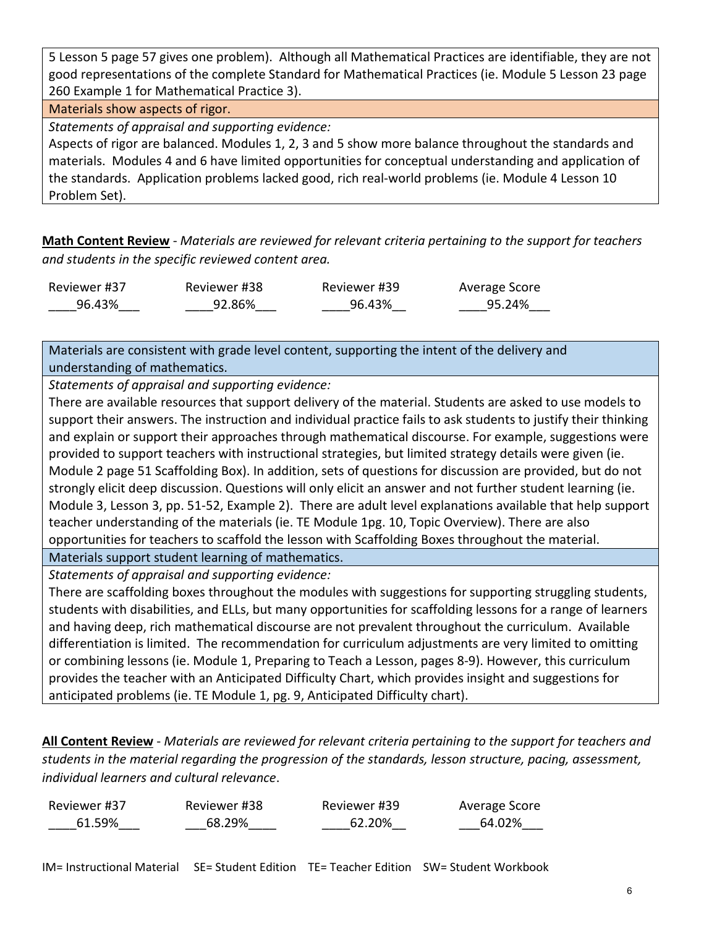5 Lesson 5 page 57 gives one problem). Although all Mathematical Practices are identifiable, they are not good representations of the complete Standard for Mathematical Practices (ie. Module 5 Lesson 23 page 260 Example 1 for Mathematical Practice 3).

## Materials show aspects of rigor.

*Statements of appraisal and supporting evidence:*

Aspects of rigor are balanced. Modules 1, 2, 3 and 5 show more balance throughout the standards and materials. Modules 4 and 6 have limited opportunities for conceptual understanding and application of the standards. Application problems lacked good, rich real-world problems (ie. Module 4 Lesson 10 Problem Set).

**Math Content Review** - *Materials are reviewed for relevant criteria pertaining to the support for teachers and students in the specific reviewed content area.*

| Reviewer #37 | Reviewer #38 | Reviewer #39 | Average Score |
|--------------|--------------|--------------|---------------|
| 96.43%       | 92.86%       | 96.43%       | 95.24%        |

Materials are consistent with grade level content, supporting the intent of the delivery and understanding of mathematics.

*Statements of appraisal and supporting evidence:*

There are available resources that support delivery of the material. Students are asked to use models to support their answers. The instruction and individual practice fails to ask students to justify their thinking and explain or support their approaches through mathematical discourse. For example, suggestions were provided to support teachers with instructional strategies, but limited strategy details were given (ie. Module 2 page 51 Scaffolding Box). In addition, sets of questions for discussion are provided, but do not strongly elicit deep discussion. Questions will only elicit an answer and not further student learning (ie. Module 3, Lesson 3, pp. 51-52, Example 2). There are adult level explanations available that help support teacher understanding of the materials (ie. TE Module 1pg. 10, Topic Overview). There are also opportunities for teachers to scaffold the lesson with Scaffolding Boxes throughout the material.

Materials support student learning of mathematics. *Statements of appraisal and supporting evidence:*

There are scaffolding boxes throughout the modules with suggestions for supporting struggling students, students with disabilities, and ELLs, but many opportunities for scaffolding lessons for a range of learners and having deep, rich mathematical discourse are not prevalent throughout the curriculum. Available differentiation is limited. The recommendation for curriculum adjustments are very limited to omitting or combining lessons (ie. Module 1, Preparing to Teach a Lesson, pages 8-9). However, this curriculum provides the teacher with an Anticipated Difficulty Chart, which provides insight and suggestions for anticipated problems (ie. TE Module 1, pg. 9, Anticipated Difficulty chart).

**All Content Review** - *Materials are reviewed for relevant criteria pertaining to the support for teachers and students in the material regarding the progression of the standards, lesson structure, pacing, assessment, individual learners and cultural relevance*.

| Reviewer #37 | Reviewer #38 | Reviewer #39 | Average Score |
|--------------|--------------|--------------|---------------|
| 61.59%       | 68.29%       | 62.20%       | 64.02%        |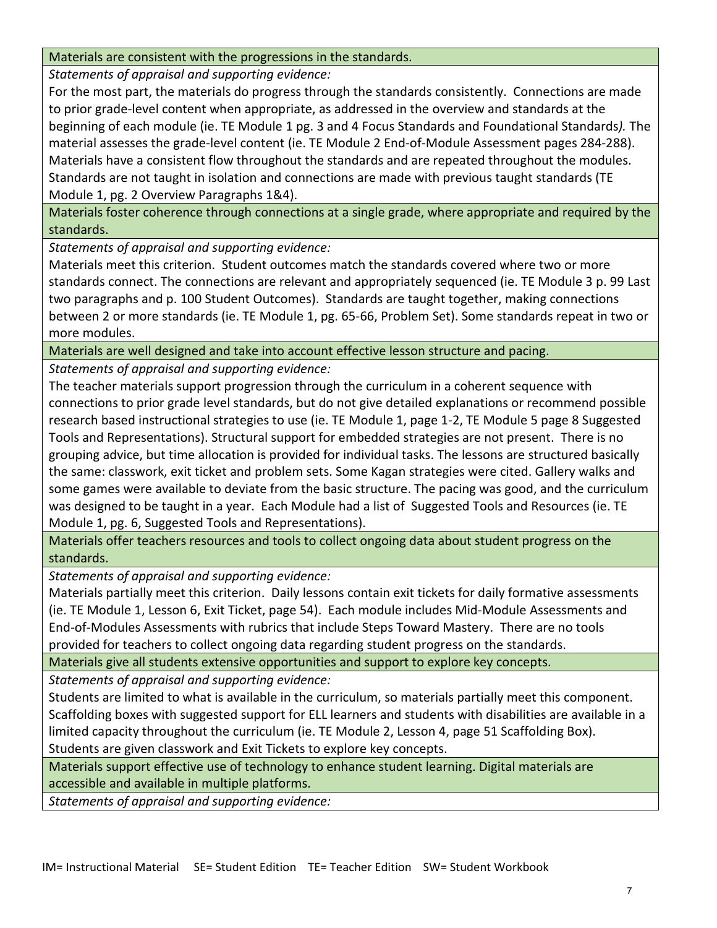## Materials are consistent with the progressions in the standards.

*Statements of appraisal and supporting evidence:*

For the most part, the materials do progress through the standards consistently. Connections are made to prior grade-level content when appropriate, as addressed in the overview and standards at the beginning of each module (ie. TE Module 1 pg. 3 and 4 Focus Standards and Foundational Standards*).* The material assesses the grade-level content (ie. TE Module 2 End-of-Module Assessment pages 284-288). Materials have a consistent flow throughout the standards and are repeated throughout the modules. Standards are not taught in isolation and connections are made with previous taught standards (TE Module 1, pg. 2 Overview Paragraphs 1&4).

Materials foster coherence through connections at a single grade, where appropriate and required by the standards.

*Statements of appraisal and supporting evidence:*

Materials meet this criterion. Student outcomes match the standards covered where two or more standards connect. The connections are relevant and appropriately sequenced (ie. TE Module 3 p. 99 Last two paragraphs and p. 100 Student Outcomes). Standards are taught together, making connections between 2 or more standards (ie. TE Module 1, pg. 65-66, Problem Set). Some standards repeat in two or more modules.

Materials are well designed and take into account effective lesson structure and pacing.

*Statements of appraisal and supporting evidence:*

The teacher materials support progression through the curriculum in a coherent sequence with connections to prior grade level standards, but do not give detailed explanations or recommend possible research based instructional strategies to use (ie. TE Module 1, page 1-2, TE Module 5 page 8 Suggested Tools and Representations). Structural support for embedded strategies are not present. There is no grouping advice, but time allocation is provided for individual tasks. The lessons are structured basically the same: classwork, exit ticket and problem sets. Some Kagan strategies were cited. Gallery walks and some games were available to deviate from the basic structure. The pacing was good, and the curriculum was designed to be taught in a year. Each Module had a list of Suggested Tools and Resources (ie. TE Module 1, pg. 6, Suggested Tools and Representations).

Materials offer teachers resources and tools to collect ongoing data about student progress on the standards.

*Statements of appraisal and supporting evidence:*

Materials partially meet this criterion. Daily lessons contain exit tickets for daily formative assessments (ie. TE Module 1, Lesson 6, Exit Ticket, page 54). Each module includes Mid-Module Assessments and End-of-Modules Assessments with rubrics that include Steps Toward Mastery. There are no tools provided for teachers to collect ongoing data regarding student progress on the standards.

Materials give all students extensive opportunities and support to explore key concepts.

*Statements of appraisal and supporting evidence:*

Students are limited to what is available in the curriculum, so materials partially meet this component. Scaffolding boxes with suggested support for ELL learners and students with disabilities are available in a limited capacity throughout the curriculum (ie. TE Module 2, Lesson 4, page 51 Scaffolding Box). Students are given classwork and Exit Tickets to explore key concepts.

Materials support effective use of technology to enhance student learning. Digital materials are accessible and available in multiple platforms.

*Statements of appraisal and supporting evidence:*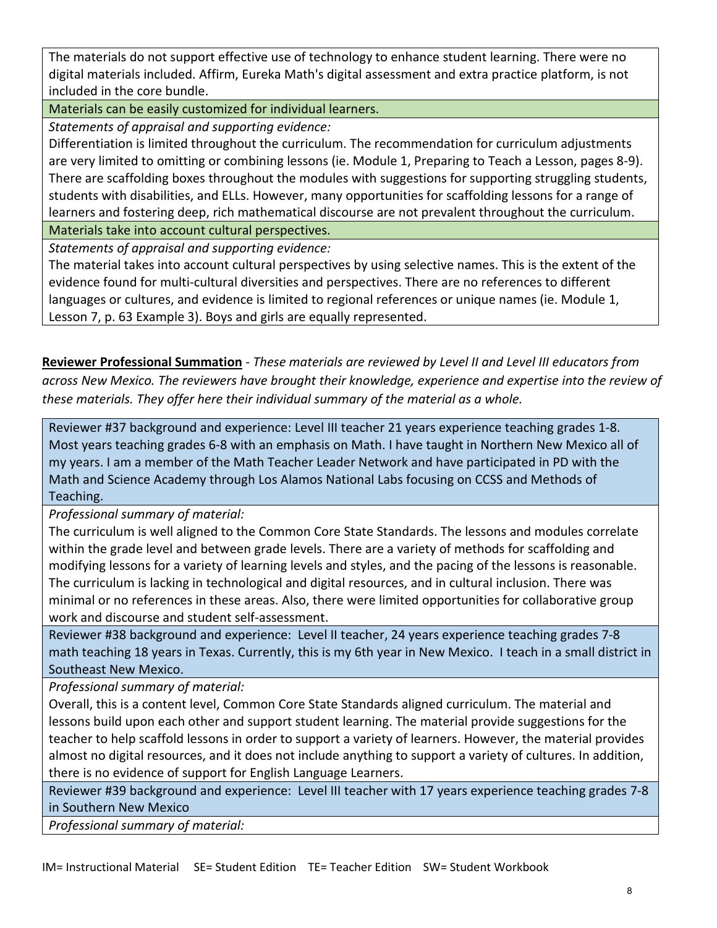The materials do not support effective use of technology to enhance student learning. There were no digital materials included. Affirm, Eureka Math's digital assessment and extra practice platform, is not included in the core bundle.

Materials can be easily customized for individual learners.

*Statements of appraisal and supporting evidence:*

Differentiation is limited throughout the curriculum. The recommendation for curriculum adjustments are very limited to omitting or combining lessons (ie. Module 1, Preparing to Teach a Lesson, pages 8-9). There are scaffolding boxes throughout the modules with suggestions for supporting struggling students, students with disabilities, and ELLs. However, many opportunities for scaffolding lessons for a range of learners and fostering deep, rich mathematical discourse are not prevalent throughout the curriculum. Materials take into account cultural perspectives.

*Statements of appraisal and supporting evidence:*

The material takes into account cultural perspectives by using selective names. This is the extent of the evidence found for multi-cultural diversities and perspectives. There are no references to different languages or cultures, and evidence is limited to regional references or unique names (ie. Module 1, Lesson 7, p. 63 Example 3). Boys and girls are equally represented.

**Reviewer Professional Summation** - *These materials are reviewed by Level II and Level III educators from across New Mexico. The reviewers have brought their knowledge, experience and expertise into the review of these materials. They offer here their individual summary of the material as a whole.* 

Reviewer #37 background and experience: Level III teacher 21 years experience teaching grades 1-8. Most years teaching grades 6-8 with an emphasis on Math. I have taught in Northern New Mexico all of my years. I am a member of the Math Teacher Leader Network and have participated in PD with the Math and Science Academy through Los Alamos National Labs focusing on CCSS and Methods of Teaching.

*Professional summary of material:*

The curriculum is well aligned to the Common Core State Standards. The lessons and modules correlate within the grade level and between grade levels. There are a variety of methods for scaffolding and modifying lessons for a variety of learning levels and styles, and the pacing of the lessons is reasonable. The curriculum is lacking in technological and digital resources, and in cultural inclusion. There was minimal or no references in these areas. Also, there were limited opportunities for collaborative group work and discourse and student self-assessment.

Reviewer #38 background and experience: Level II teacher, 24 years experience teaching grades 7-8 math teaching 18 years in Texas. Currently, this is my 6th year in New Mexico. I teach in a small district in Southeast New Mexico.

*Professional summary of material:*

Overall, this is a content level, Common Core State Standards aligned curriculum. The material and lessons build upon each other and support student learning. The material provide suggestions for the teacher to help scaffold lessons in order to support a variety of learners. However, the material provides almost no digital resources, and it does not include anything to support a variety of cultures. In addition, there is no evidence of support for English Language Learners.

Reviewer #39 background and experience: Level III teacher with 17 years experience teaching grades 7-8 in Southern New Mexico

*Professional summary of material:*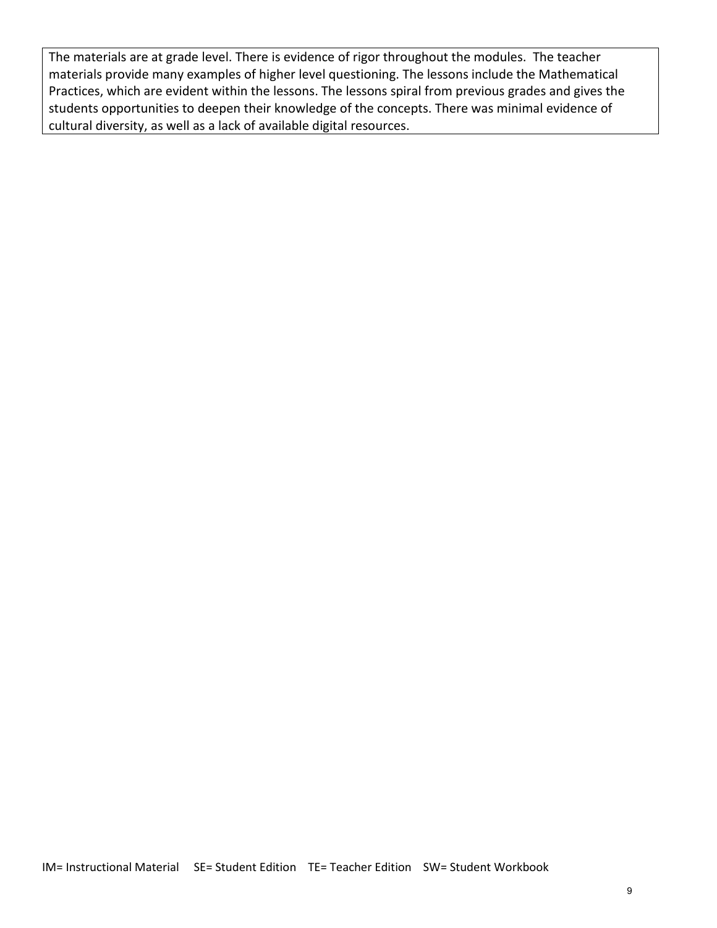The materials are at grade level. There is evidence of rigor throughout the modules. The teacher materials provide many examples of higher level questioning. The lessons include the Mathematical Practices, which are evident within the lessons. The lessons spiral from previous grades and gives the students opportunities to deepen their knowledge of the concepts. There was minimal evidence of cultural diversity, as well as a lack of available digital resources.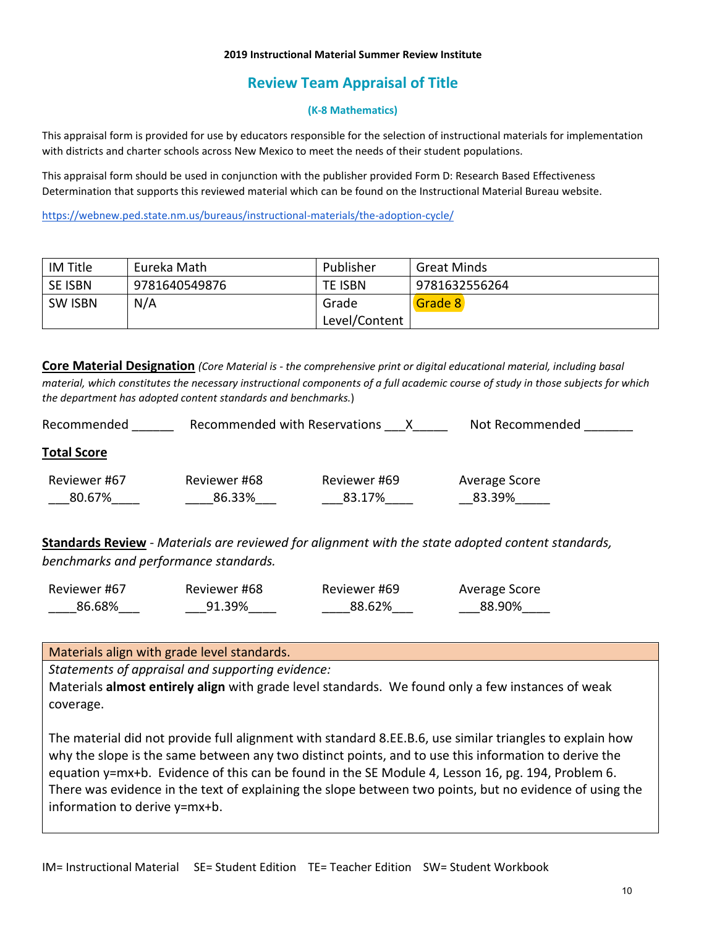#### **2019 Instructional Material Summer Review Institute**

# **Review Team Appraisal of Title**

## **(K-8 Mathematics)**

This appraisal form is provided for use by educators responsible for the selection of instructional materials for implementation with districts and charter schools across New Mexico to meet the needs of their student populations.

This appraisal form should be used in conjunction with the publisher provided Form D: Research Based Effectiveness Determination that supports this reviewed material which can be found on the Instructional Material Bureau website.

<https://webnew.ped.state.nm.us/bureaus/instructional-materials/the-adoption-cycle/>

| IM Title       | Eureka Math   | Publisher     | <b>Great Minds</b> |
|----------------|---------------|---------------|--------------------|
| <b>SE ISBN</b> | 9781640549876 | TE ISBN       | 9781632556264      |
| <b>SW ISBN</b> | N/A           | Grade         | Grade 8            |
|                |               | Level/Content |                    |

**Core Material Designation** *(Core Material is - the comprehensive print or digital educational material, including basal material, which constitutes the necessary instructional components of a full academic course of study in those subjects for which the department has adopted content standards and benchmarks.*)

| Recommended            | Recommended with Reservations |                        | Not Recommended         |
|------------------------|-------------------------------|------------------------|-------------------------|
| <b>Total Score</b>     |                               |                        |                         |
| Reviewer #67<br>80.67% | Reviewer #68<br>86.33%        | Reviewer #69<br>83.17% | Average Score<br>83.39% |

**Standards Review** - *Materials are reviewed for alignment with the state adopted content standards, benchmarks and performance standards.*

| Reviewer #67 | Reviewer #68 | Reviewer #69 | Average Score |
|--------------|--------------|--------------|---------------|
| 86.68%       | 91.39%       | 88.62%       | 88.90%        |

Materials align with grade level standards.

*Statements of appraisal and supporting evidence:*

Materials **almost entirely align** with grade level standards. We found only a few instances of weak coverage.

The material did not provide full alignment with standard 8.EE.B.6, use similar triangles to explain how why the slope is the same between any two distinct points, and to use this information to derive the equation y=mx+b. Evidence of this can be found in the SE Module 4, Lesson 16, pg. 194, Problem 6. There was evidence in the text of explaining the slope between two points, but no evidence of using the information to derive y=mx+b.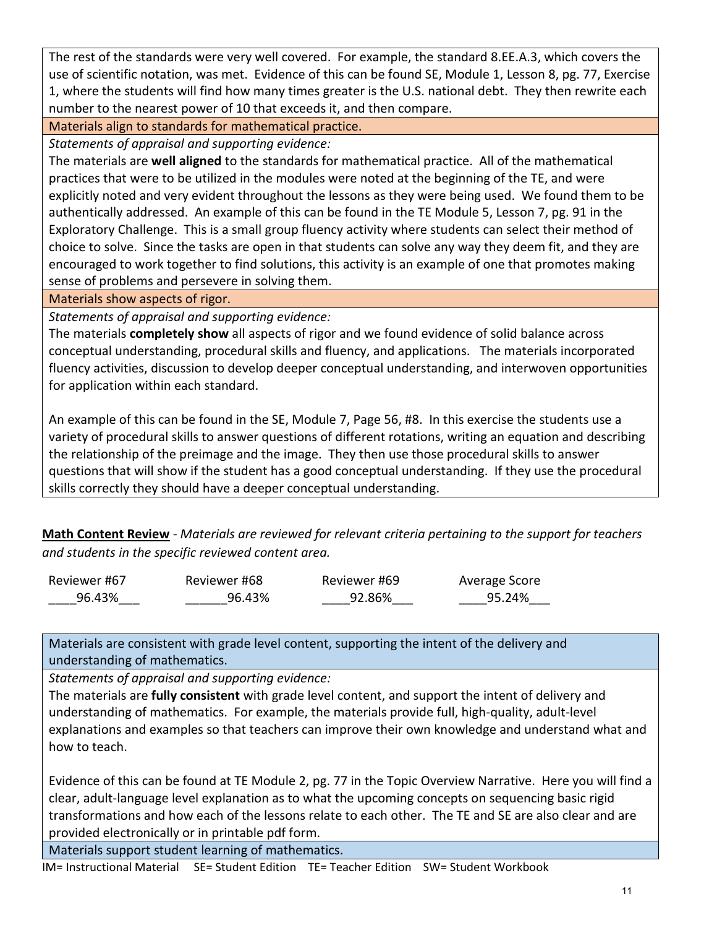The rest of the standards were very well covered. For example, the standard 8.EE.A.3, which covers the use of scientific notation, was met. Evidence of this can be found SE, Module 1, Lesson 8, pg. 77, Exercise 1, where the students will find how many times greater is the U.S. national debt. They then rewrite each number to the nearest power of 10 that exceeds it, and then compare.

Materials align to standards for mathematical practice.

*Statements of appraisal and supporting evidence:*

The materials are **well aligned** to the standards for mathematical practice. All of the mathematical practices that were to be utilized in the modules were noted at the beginning of the TE, and were explicitly noted and very evident throughout the lessons as they were being used. We found them to be authentically addressed. An example of this can be found in the TE Module 5, Lesson 7, pg. 91 in the Exploratory Challenge. This is a small group fluency activity where students can select their method of choice to solve. Since the tasks are open in that students can solve any way they deem fit, and they are encouraged to work together to find solutions, this activity is an example of one that promotes making sense of problems and persevere in solving them.

Materials show aspects of rigor.

*Statements of appraisal and supporting evidence:*

The materials **completely show** all aspects of rigor and we found evidence of solid balance across conceptual understanding, procedural skills and fluency, and applications. The materials incorporated fluency activities, discussion to develop deeper conceptual understanding, and interwoven opportunities for application within each standard.

An example of this can be found in the SE, Module 7, Page 56, #8. In this exercise the students use a variety of procedural skills to answer questions of different rotations, writing an equation and describing the relationship of the preimage and the image. They then use those procedural skills to answer questions that will show if the student has a good conceptual understanding. If they use the procedural skills correctly they should have a deeper conceptual understanding.

**Math Content Review** - *Materials are reviewed for relevant criteria pertaining to the support for teachers and students in the specific reviewed content area.*

| Reviewer #67 | Reviewer #68 | Reviewer #69 | Average Score |
|--------------|--------------|--------------|---------------|
| 96.43%       | 96.43%       | 92.86%       | 95.24%        |

Materials are consistent with grade level content, supporting the intent of the delivery and understanding of mathematics.

*Statements of appraisal and supporting evidence:*

The materials are **fully consistent** with grade level content, and support the intent of delivery and understanding of mathematics. For example, the materials provide full, high-quality, adult-level explanations and examples so that teachers can improve their own knowledge and understand what and how to teach.

Evidence of this can be found at TE Module 2, pg. 77 in the Topic Overview Narrative. Here you will find a clear, adult-language level explanation as to what the upcoming concepts on sequencing basic rigid transformations and how each of the lessons relate to each other. The TE and SE are also clear and are provided electronically or in printable pdf form.

Materials support student learning of mathematics.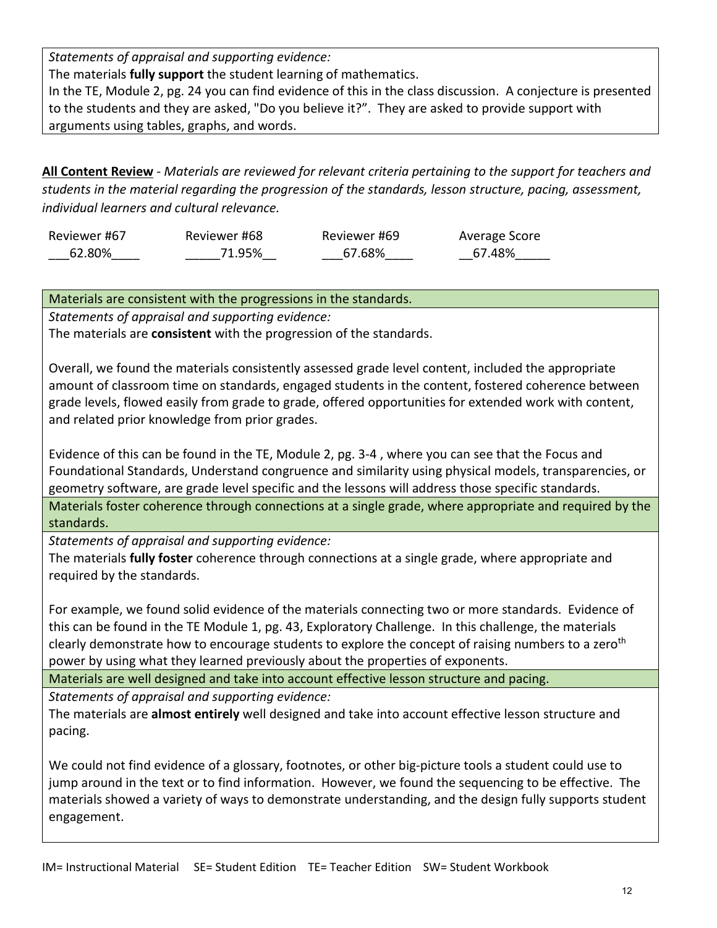*Statements of appraisal and supporting evidence:*

The materials **fully support** the student learning of mathematics.

In the TE, Module 2, pg. 24 you can find evidence of this in the class discussion. A conjecture is presented to the students and they are asked, "Do you believe it?". They are asked to provide support with arguments using tables, graphs, and words.

**All Content Review** - *Materials are reviewed for relevant criteria pertaining to the support for teachers and students in the material regarding the progression of the standards, lesson structure, pacing, assessment, individual learners and cultural relevance.*

| Reviewer #67 | Reviewer #68 | Reviewer #69 | Average Score |
|--------------|--------------|--------------|---------------|
| 62.80%       | 71.95%       | 67.68%       | 67.48%        |

Materials are consistent with the progressions in the standards.

*Statements of appraisal and supporting evidence:*

The materials are **consistent** with the progression of the standards.

Overall, we found the materials consistently assessed grade level content, included the appropriate amount of classroom time on standards, engaged students in the content, fostered coherence between grade levels, flowed easily from grade to grade, offered opportunities for extended work with content, and related prior knowledge from prior grades.

Evidence of this can be found in the TE, Module 2, pg. 3-4 , where you can see that the Focus and Foundational Standards, Understand congruence and similarity using physical models, transparencies, or geometry software, are grade level specific and the lessons will address those specific standards. Materials foster coherence through connections at a single grade, where appropriate and required by the standards.

*Statements of appraisal and supporting evidence:*

The materials **fully foster** coherence through connections at a single grade, where appropriate and required by the standards.

For example, we found solid evidence of the materials connecting two or more standards. Evidence of this can be found in the TE Module 1, pg. 43, Exploratory Challenge. In this challenge, the materials clearly demonstrate how to encourage students to explore the concept of raising numbers to a zeroth power by using what they learned previously about the properties of exponents.

Materials are well designed and take into account effective lesson structure and pacing.

*Statements of appraisal and supporting evidence:*

The materials are **almost entirely** well designed and take into account effective lesson structure and pacing.

We could not find evidence of a glossary, footnotes, or other big-picture tools a student could use to jump around in the text or to find information. However, we found the sequencing to be effective. The materials showed a variety of ways to demonstrate understanding, and the design fully supports student engagement.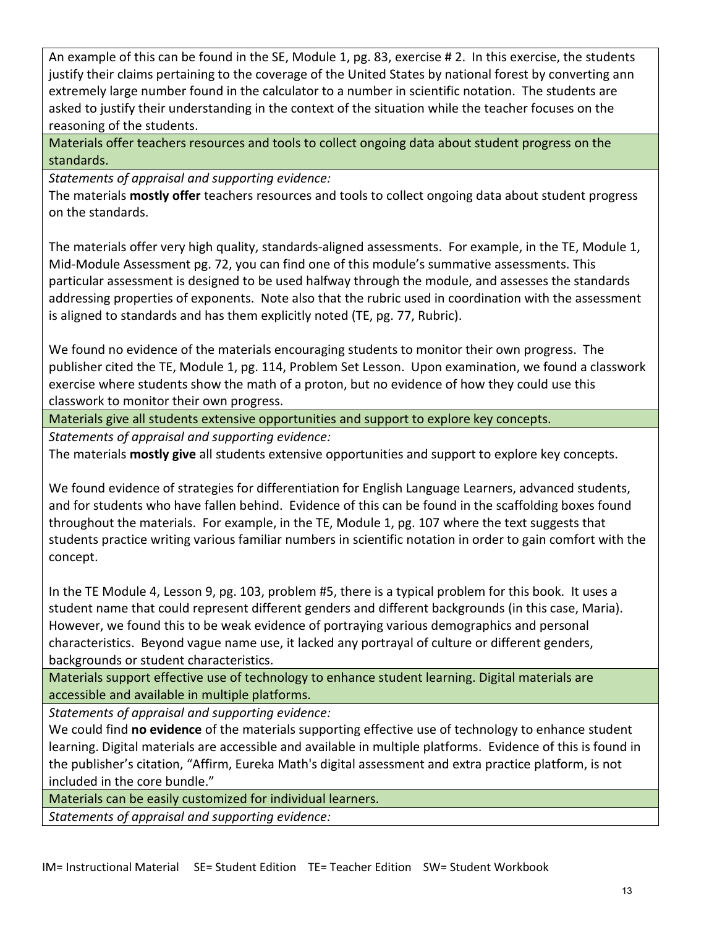An example of this can be found in the SE, Module 1, pg. 83, exercise # 2. In this exercise, the students justify their claims pertaining to the coverage of the United States by national forest by converting ann extremely large number found in the calculator to a number in scientific notation. The students are asked to justify their understanding in the context of the situation while the teacher focuses on the reasoning of the students.

Materials offer teachers resources and tools to collect ongoing data about student progress on the standards.

*Statements of appraisal and supporting evidence:*

The materials **mostly offer** teachers resources and tools to collect ongoing data about student progress on the standards.

The materials offer very high quality, standards-aligned assessments. For example, in the TE, Module 1, Mid-Module Assessment pg. 72, you can find one of this module's summative assessments. This particular assessment is designed to be used halfway through the module, and assesses the standards addressing properties of exponents. Note also that the rubric used in coordination with the assessment is aligned to standards and has them explicitly noted (TE, pg. 77, Rubric).

We found no evidence of the materials encouraging students to monitor their own progress. The publisher cited the TE, Module 1, pg. 114, Problem Set Lesson. Upon examination, we found a classwork exercise where students show the math of a proton, but no evidence of how they could use this classwork to monitor their own progress.

Materials give all students extensive opportunities and support to explore key concepts.

*Statements of appraisal and supporting evidence:*

The materials **mostly give** all students extensive opportunities and support to explore key concepts.

We found evidence of strategies for differentiation for English Language Learners, advanced students, and for students who have fallen behind. Evidence of this can be found in the scaffolding boxes found throughout the materials. For example, in the TE, Module 1, pg. 107 where the text suggests that students practice writing various familiar numbers in scientific notation in order to gain comfort with the concept.

In the TE Module 4, Lesson 9, pg. 103, problem #5, there is a typical problem for this book. It uses a student name that could represent different genders and different backgrounds (in this case, Maria). However, we found this to be weak evidence of portraying various demographics and personal characteristics. Beyond vague name use, it lacked any portrayal of culture or different genders, backgrounds or student characteristics.

Materials support effective use of technology to enhance student learning. Digital materials are accessible and available in multiple platforms.

*Statements of appraisal and supporting evidence:*

We could find **no evidence** of the materials supporting effective use of technology to enhance student learning. Digital materials are accessible and available in multiple platforms. Evidence of this is found in the publisher's citation, "Affirm, Eureka Math's digital assessment and extra practice platform, is not included in the core bundle."

Materials can be easily customized for individual learners.

*Statements of appraisal and supporting evidence:*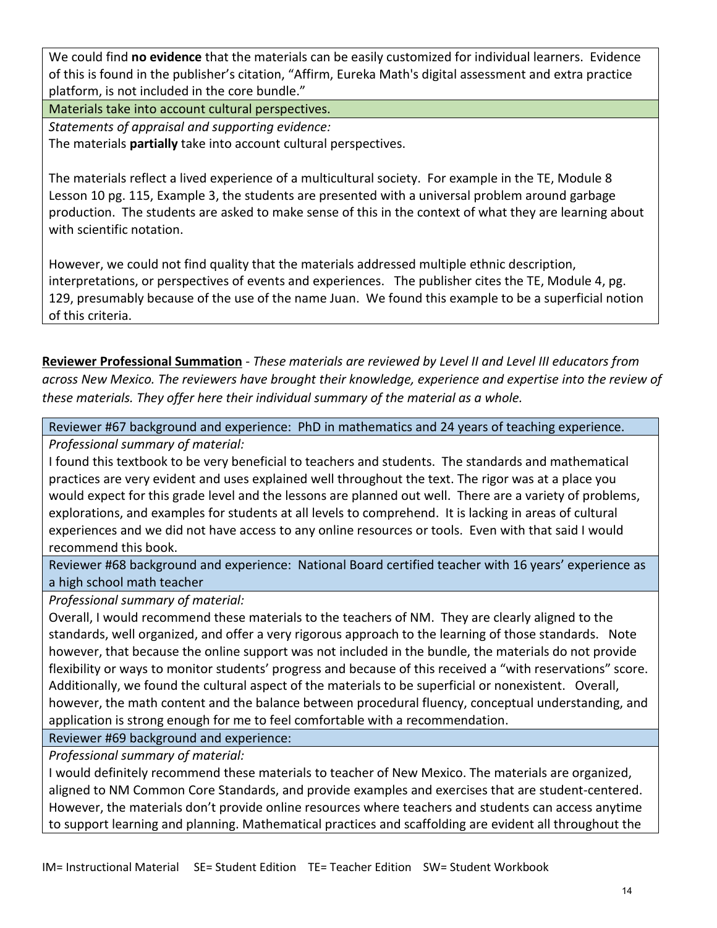We could find **no evidence** that the materials can be easily customized for individual learners. Evidence of this is found in the publisher's citation, "Affirm, Eureka Math's digital assessment and extra practice platform, is not included in the core bundle."

Materials take into account cultural perspectives.

*Statements of appraisal and supporting evidence:*

The materials **partially** take into account cultural perspectives.

The materials reflect a lived experience of a multicultural society. For example in the TE, Module 8 Lesson 10 pg. 115, Example 3, the students are presented with a universal problem around garbage production. The students are asked to make sense of this in the context of what they are learning about with scientific notation.

However, we could not find quality that the materials addressed multiple ethnic description, interpretations, or perspectives of events and experiences. The publisher cites the TE, Module 4, pg. 129, presumably because of the use of the name Juan. We found this example to be a superficial notion of this criteria.

**Reviewer Professional Summation** - *These materials are reviewed by Level II and Level III educators from across New Mexico. The reviewers have brought their knowledge, experience and expertise into the review of these materials. They offer here their individual summary of the material as a whole.* 

Reviewer #67 background and experience: PhD in mathematics and 24 years of teaching experience.

*Professional summary of material:*

I found this textbook to be very beneficial to teachers and students. The standards and mathematical practices are very evident and uses explained well throughout the text. The rigor was at a place you would expect for this grade level and the lessons are planned out well. There are a variety of problems, explorations, and examples for students at all levels to comprehend. It is lacking in areas of cultural experiences and we did not have access to any online resources or tools. Even with that said I would recommend this book.

Reviewer #68 background and experience: National Board certified teacher with 16 years' experience as a high school math teacher

*Professional summary of material:*

Overall, I would recommend these materials to the teachers of NM. They are clearly aligned to the standards, well organized, and offer a very rigorous approach to the learning of those standards. Note however, that because the online support was not included in the bundle, the materials do not provide flexibility or ways to monitor students' progress and because of this received a "with reservations" score. Additionally, we found the cultural aspect of the materials to be superficial or nonexistent. Overall, however, the math content and the balance between procedural fluency, conceptual understanding, and application is strong enough for me to feel comfortable with a recommendation.

Reviewer #69 background and experience:

*Professional summary of material:*

I would definitely recommend these materials to teacher of New Mexico. The materials are organized, aligned to NM Common Core Standards, and provide examples and exercises that are student-centered. However, the materials don't provide online resources where teachers and students can access anytime to support learning and planning. Mathematical practices and scaffolding are evident all throughout the